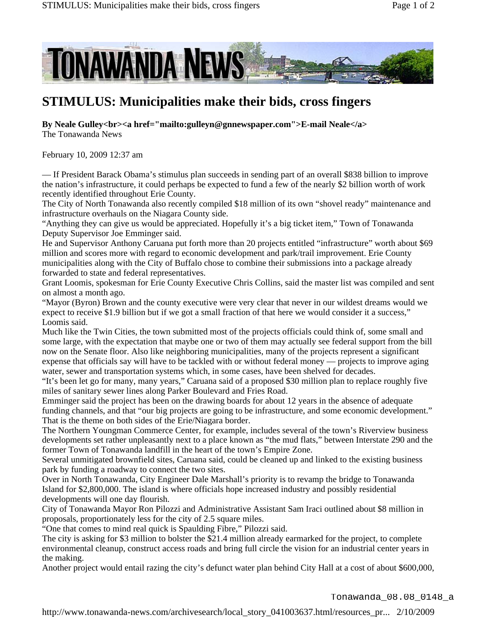

## **STIMULUS: Municipalities make their bids, cross fingers**

**By Neale Gulley<br><a href="mailto:gulleyn@gnnewspaper.com">E-mail Neale</a>** The Tonawanda News

February 10, 2009 12:37 am

— If President Barack Obama's stimulus plan succeeds in sending part of an overall \$838 billion to improve the nation's infrastructure, it could perhaps be expected to fund a few of the nearly \$2 billion worth of work recently identified throughout Erie County.

The City of North Tonawanda also recently compiled \$18 million of its own "shovel ready" maintenance and infrastructure overhauls on the Niagara County side.

"Anything they can give us would be appreciated. Hopefully it's a big ticket item," Town of Tonawanda Deputy Supervisor Joe Emminger said.

He and Supervisor Anthony Caruana put forth more than 20 projects entitled "infrastructure" worth about \$69 million and scores more with regard to economic development and park/trail improvement. Erie County municipalities along with the City of Buffalo chose to combine their submissions into a package already forwarded to state and federal representatives.

Grant Loomis, spokesman for Erie County Executive Chris Collins, said the master list was compiled and sent on almost a month ago.

"Mayor (Byron) Brown and the county executive were very clear that never in our wildest dreams would we expect to receive \$1.9 billion but if we got a small fraction of that here we would consider it a success," Loomis said.

Much like the Twin Cities, the town submitted most of the projects officials could think of, some small and some large, with the expectation that maybe one or two of them may actually see federal support from the bill now on the Senate floor. Also like neighboring municipalities, many of the projects represent a significant expense that officials say will have to be tackled with or without federal money — projects to improve aging water, sewer and transportation systems which, in some cases, have been shelved for decades.

"It's been let go for many, many years," Caruana said of a proposed \$30 million plan to replace roughly five miles of sanitary sewer lines along Parker Boulevard and Fries Road.

Emminger said the project has been on the drawing boards for about 12 years in the absence of adequate funding channels, and that "our big projects are going to be infrastructure, and some economic development." That is the theme on both sides of the Erie/Niagara border.

The Northern Youngman Commerce Center, for example, includes several of the town's Riverview business developments set rather unpleasantly next to a place known as "the mud flats," between Interstate 290 and the former Town of Tonawanda landfill in the heart of the town's Empire Zone.

Several unmitigated brownfield sites, Caruana said, could be cleaned up and linked to the existing business park by funding a roadway to connect the two sites.

Over in North Tonawanda, City Engineer Dale Marshall's priority is to revamp the bridge to Tonawanda Island for \$2,800,000. The island is where officials hope increased industry and possibly residential developments will one day flourish.

City of Tonawanda Mayor Ron Pilozzi and Administrative Assistant Sam Iraci outlined about \$8 million in proposals, proportionately less for the city of 2.5 square miles.

"One that comes to mind real quick is Spaulding Fibre," Pilozzi said.

The city is asking for \$3 million to bolster the \$21.4 million already earmarked for the project, to complete environmental cleanup, construct access roads and bring full circle the vision for an industrial center years in the making.

Another project would entail razing the city's defunct water plan behind City Hall at a cost of about \$600,000,

http://www.tonawanda-news.com/archivesearch/local\_story\_041003637.html/resources\_pr... 2/10/2009 Tonawanda\_08.08\_0148\_a